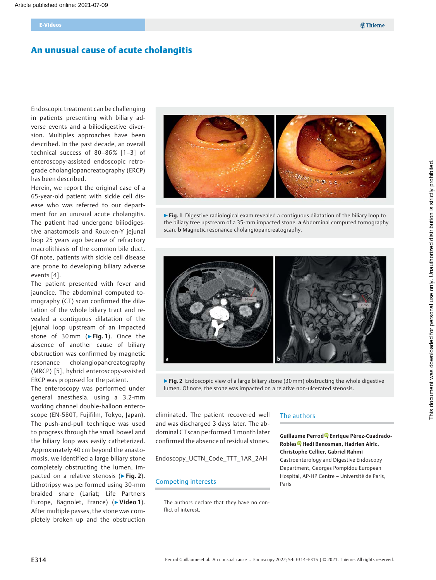# An unusual cause of acute cholangitis

Endoscopic treatment can be challenging in patients presenting with biliary adverse events and a biliodigestive diversion. Multiples approaches have been described. In the past decade, an overall technical success of 80–86% [1–3] of enteroscopy-assisted endoscopic retrograde cholangiopancreatography (ERCP) has been described.

Herein, we report the original case of a 65-year-old patient with sickle cell disease who was referred to our department for an unusual acute cholangitis. The patient had undergone biliodigestive anastomosis and Roux-en-Y jejunal loop 25 years ago because of refractory macrolithiasis of the common bile duct. Of note, patients with sickle cell disease are prone to developing biliary adverse events [4].

The patient presented with fever and jaundice. The abdominal computed tomography (CT) scan confirmed the dilatation of the whole biliary tract and revealed a contiguous dilatation of the jejunal loop upstream of an impacted stone of 30mm (▶Fig. 1). Once the absence of another cause of biliary obstruction was confirmed by magnetic resonance cholangiopancreatography (MRCP) [5], hybrid enteroscopy-assisted ERCP was proposed for the patient.

The enteroscopy was performed under general anesthesia, using a 3.2-mm working channel double-balloon enteroscope (EN-580T, Fujifilm, Tokyo, Japan). The push-and-pull technique was used to progress through the small bowel and the biliary loop was easily catheterized. Approximately 40 cm beyond the anastomosis, we identified a large biliary stone completely obstructing the lumen, impacted on a relative stenosis (▶Fig. 2). Lithotripsy was performed using 30-mm braided snare (Lariat; Life Partners Europe, Bagnolet, France) (▶Video 1). After multiple passes, the stone was completely broken up and the obstruction



▶ Fig. 1 Digestive radiological exam revealed a contiguous dilatation of the biliary loop to the biliary tree upstream of a 35-mm impacted stone. a Abdominal computed tomography scan. **b** Magnetic resonance cholangiopancreatography.



 $\triangleright$  Fig. 2 Endoscopic view of a large biliary stone (30 mm) obstructing the whole digestive lumen. Of note, the stone was impacted on a relative non-ulcerated stenosis.

eliminated. The patient recovered well and was discharged 3 days later. The abdominal CTscan performed 1 month later confirmed the absence of residual stones.

Endoscopy\_UCTN\_Code\_TTT\_1AR\_2AH

### Competing interests

The authors declare that they have no conflict of interest.

## The authors

Guillaume Perrod<sup>o</sup>[,](https://orcid.org/0000-0003-4984-0310) Enrique Pérez-Cuadrado-Robles<sup>®</sup>[,](https://orcid.org/0000-0001-8254-7453) Hedi Benosman, Hadrien Alric, Christophe Cellier, Gabriel Rahmi

Gastroenterology and Digestive Endoscopy Department, Georges Pompidou European Hospital, AP-HP Centre – Université de Paris, Paris